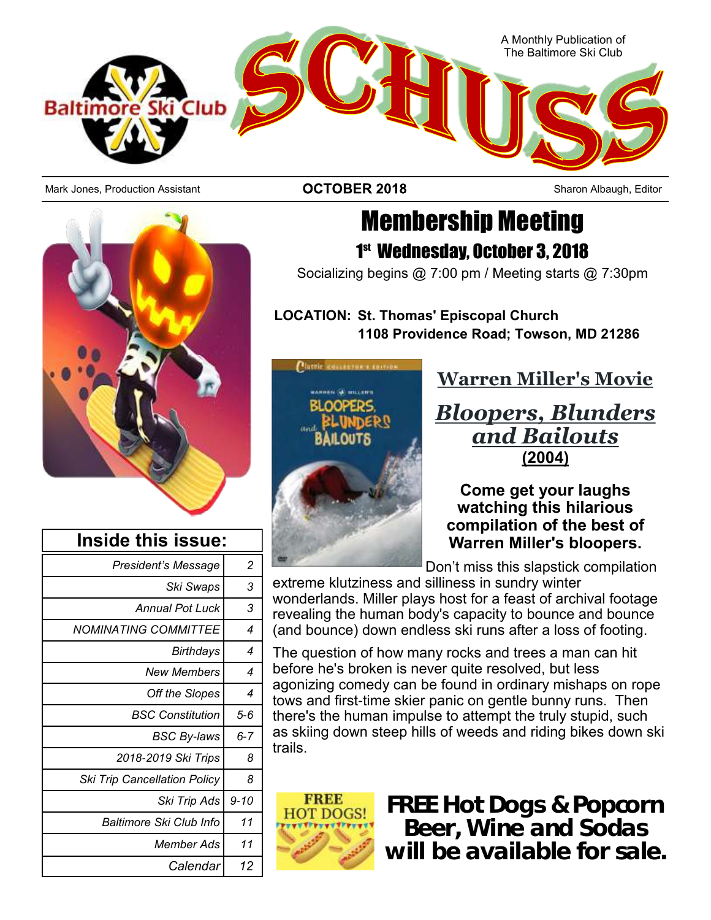

Mark Jones, Production Assistant **Sharon Albaugh, Editor COTOBER 2018** Sharon Albaugh, Editor



| <b>Membership Meeting</b>                  |
|--------------------------------------------|
| 1 <sup>st</sup> Wednesday, October 3, 2018 |

Socializing begins @ 7:00 pm / Meeting starts @ 7:30pm

**LOCATION: St. Thomas' Episcopal Church 1108 Providence Road; Towson, MD 21286**



## **Warren Miller's Movie**

## *Bloopers, Blunders and Bailouts* **(2004)**

**Come get your laughs watching this hilarious compilation of the best of Warren Miller's bloopers.**

Don't miss this slapstick compilation

extreme klutziness and silliness in sundry winter wonderlands. Miller plays host for a feast of archival footage revealing the human body's capacity to bounce and bounce (and bounce) down endless ski runs after a loss of footing.

The question of how many rocks and trees a man can hit before he's broken is never quite resolved, but less agonizing comedy can be found in ordinary mishaps on rope tows and first-time skier panic on gentle bunny runs. Then there's the human impulse to attempt the truly stupid, such as skiing down steep hills of weeds and riding bikes down ski trails.



**FREE Hot Dogs & Popcorn Beer, Wine and Sodas will be available for sale.** 

|          | Inside this issue:                  |
|----------|-------------------------------------|
| 2        | <b>President's Message</b>          |
| 3        | Ski Swaps                           |
| 3        | Annual Pot Luck                     |
| 4        | NOMINATING COMMITTEE                |
| 4        | <b>Birthdays</b>                    |
| 4        | New Members                         |
| 4        | Off the Slopes                      |
| $5 - 6$  | <b>BSC Constitution</b>             |
| 6-7      | <b>BSC By-laws</b>                  |
| 8        | 2018-2019 Ski Trips                 |
| 8        | <b>Ski Trip Cancellation Policy</b> |
| $9 - 10$ | Ski Trip Ads                        |
| 11       | Baltimore Ski Club Info             |
| 11       | <b>Member Ads</b>                   |
| 12       | Calendar                            |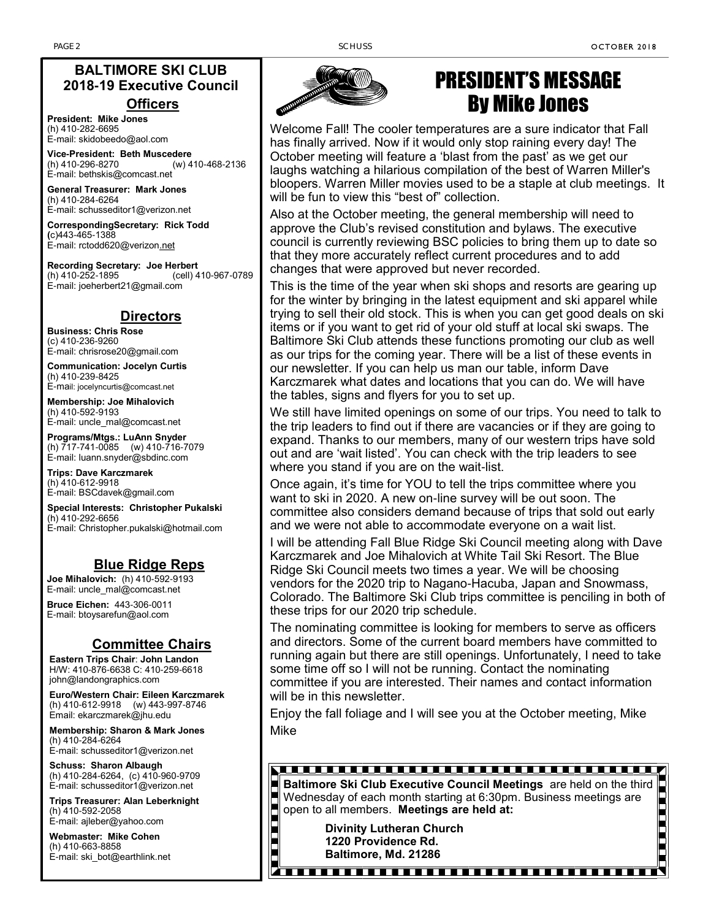#### **BALTIMORE SKI CLUB 2018-19 Executive Council Officers**

**President: Mike Jones** (h) 410-282-6695 E-mail: skidobeedo@aol.com

**Vice-President: Beth Muscedere** (h) 410-296-8270 (w) 410-468-2136 E-mail: bethskis@comcast.net

**General Treasurer: Mark Jones** (h) 410-284-6264 E-mail: schusseditor1@verizon.net

**CorrespondingSecretary: Rick Todd (**c)443-465-1388 E-mail: rctodd620@verizon.net

**Recording Secretary: Joe Herbert** (cell) 410-967-0789 E-mail: joeherbert21@gmail.com

#### **Directors**

**Business: Chris Rose** (c) 410-236-9260 E-mail: chrisrose20@gmail.com

**Communication: Jocelyn Curtis** (h) 410-239-8425 E-mail: [jocelyncurtis@comcast.net](mailto:jocelyncurtis@comcast.net)

**Membership: Joe Mihalovich** (h) 410-592-9193 E-mail: uncle\_mal@comcast.net

**Programs/Mtgs.: LuAnn Snyder** (h) 717-741-0085 (w) 410-716-7079 E-mail: luann.snyder@sbdinc.com

**Trips: Dave Karczmarek** (h) 410-612-9918 E-mail: BSCdavek@gmail.com

**Special Interests: Christopher Pukalski** (h) 410-292-6656 E-mail: Christopher.pukalski@hotmail.com

#### **Blue Ridge Reps**

**Joe Mihalovich:** (h) 410-592-9193 E-mail: uncle\_mal@comcast.net

**Bruce Eichen:** 443-306-0011 E-mail: btoysarefun@aol.com

#### **Committee Chairs**

**Eastern Trips Chair**: **John Landon** H/W: 410-876-6638 C: 410-259-6618 john@landongraphics.com

**Euro/Western Chair: Eileen Karczmarek** (h) 410-612-9918 (w) 443-997-8746 Email: ekarczmarek@jhu.edu

**Membership: Sharon & Mark Jones** (h) 410-284-6264 E-mail: schusseditor1@verizon.net

**Schuss: Sharon Albaugh** (h) 410-284-6264, (c) 410-960-9709 E-mail: schusseditor1@verizon.net

**Trips Treasurer: Alan Leberknight** (h) 410-592-2058 E-mail: ajleber@yahoo.com

**Webmaster: Mike Cohen** (h) 410-663-8858 E-mail: ski\_bot@earthlink.net



## PRESIDENT'S MESSAGE By Mike Jones

Welcome Fall! The cooler temperatures are a sure indicator that Fall has finally arrived. Now if it would only stop raining every day! The October meeting will feature a 'blast from the past' as we get our laughs watching a hilarious compilation of the best of Warren Miller's bloopers. Warren Miller movies used to be a staple at club meetings. It will be fun to view this "best of" collection.

Also at the October meeting, the general membership will need to approve the Club's revised constitution and bylaws. The executive council is currently reviewing BSC policies to bring them up to date so that they more accurately reflect current procedures and to add changes that were approved but never recorded.

This is the time of the year when ski shops and resorts are gearing up for the winter by bringing in the latest equipment and ski apparel while trying to sell their old stock. This is when you can get good deals on ski items or if you want to get rid of your old stuff at local ski swaps. The Baltimore Ski Club attends these functions promoting our club as well as our trips for the coming year. There will be a list of these events in our newsletter. If you can help us man our table, inform Dave Karczmarek what dates and locations that you can do. We will have the tables, signs and flyers for you to set up.

We still have limited openings on some of our trips. You need to talk to the trip leaders to find out if there are vacancies or if they are going to expand. Thanks to our members, many of our western trips have sold out and are 'wait listed'. You can check with the trip leaders to see where you stand if you are on the wait-list.

Once again, it's time for YOU to tell the trips committee where you want to ski in 2020. A new on-line survey will be out soon. The committee also considers demand because of trips that sold out early and we were not able to accommodate everyone on a wait list.

I will be attending Fall Blue Ridge Ski Council meeting along with Dave Karczmarek and Joe Mihalovich at White Tail Ski Resort. The Blue Ridge Ski Council meets two times a year. We will be choosing vendors for the 2020 trip to Nagano-Hacuba, Japan and Snowmass, Colorado. The Baltimore Ski Club trips committee is penciling in both of these trips for our 2020 trip schedule.

The nominating committee is looking for members to serve as officers and directors. Some of the current board members have committed to running again but there are still openings. Unfortunately, I need to take some time off so I will not be running. Contact the nominating committee if you are interested. Their names and contact information will be in this newsletter.

Enjoy the fall foliage and I will see you at the October meeting, Mike Mike

#### 

**Baltimore Ski Club Executive Council Meetings** are held on the third Wednesday of each month starting at 6:30pm. Business meetings are open to all members. Meetings are held at:<br>Divinity Lutheran Church<br>1220 Providence Rd Wednesday of each month starting at 6:30pm. Business meetings are open to all members. **Meetings are held at:**

**Divinity Lutheran Church 1220 Providence Rd. Baltimore, Md. 21286**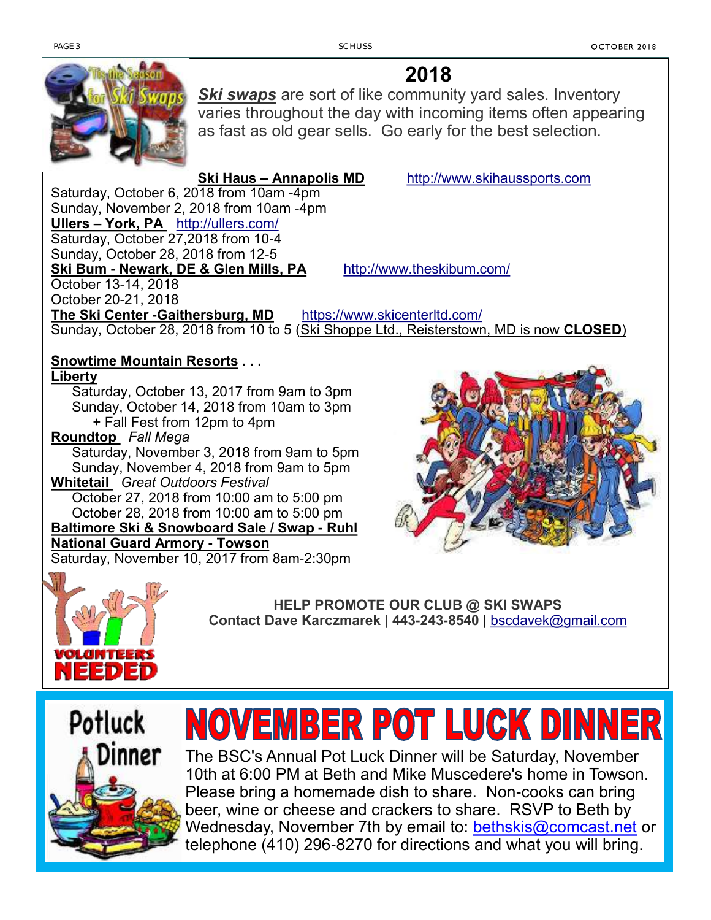

**2018**

**Ski swaps** are sort of like community yard sales. Inventory varies throughout the day with incoming items often appearing as fast as old gear sells. Go early for the best selection.

**Ski Haus – Annapolis MD** [http://www.skihaussports.com](http://www.skihaussports.com/2015/08/annual-swap-and-sale-saturday/) Saturday, October 6, 2018 from 10am -4pm Sunday, November 2, 2018 from 10am -4pm **Ullers – York, PA** <http://ullers.com/> Saturday, October 27,2018 from 10-4 Sunday, October 28, 2018 from 12-5 **Ski Bum - Newark, DE & Glen Mills, PA** <http://www.theskibum.com/> October 13-14, 2018 October 20-21, 2018 **The Ski Center -Gaithersburg, MD** <https://www.skicenterltd.com/> Sunday, October 28, 2018 from 10 to 5 (Ski Shoppe Ltd., Reisterstown, MD is now **CLOSED**)

#### **Snowtime Mountain Resorts . . .**

**Liberty** 

Saturday, October 13, 2017 from 9am to 3pm Sunday, October 14, 2018 from 10am to 3pm + Fall Fest from 12pm to 4pm

**Roundtop** *Fall Mega* 

Saturday, November 3, 2018 from 9am to 5pm Sunday, November 4, 2018 from 9am to 5pm **Whitetail** *Great Outdoors Festival*

October 27, 2018 from 10:00 am to 5:00 pm October 28, 2018 from 10:00 am to 5:00 pm

**Baltimore Ski & Snowboard Sale / Swap - Ruhl National Guard Armory - Towson**

Saturday, November 10, 2017 from 8am-2:30pm





**HELP PROMOTE OUR CLUB @ SKI SWAPS Contact Dave Karczmarek | 443-243-8540** | [bscdavek@gmail.com](mailto:bscdavek@gmail.com)



# NOVEMBER POT LUCK DINNER

The BSC's Annual Pot Luck Dinner will be Saturday, November 10th at 6:00 PM at Beth and Mike Muscedere's home in Towson. Please bring a homemade dish to share. Non-cooks can bring beer, wine or cheese and crackers to share. RSVP to Beth by Wednesday, November 7th by email to: [bethskis@comcast.net](mailto:bethskis@comcast.net) or telephone (410) 296-8270 for directions and what you will bring.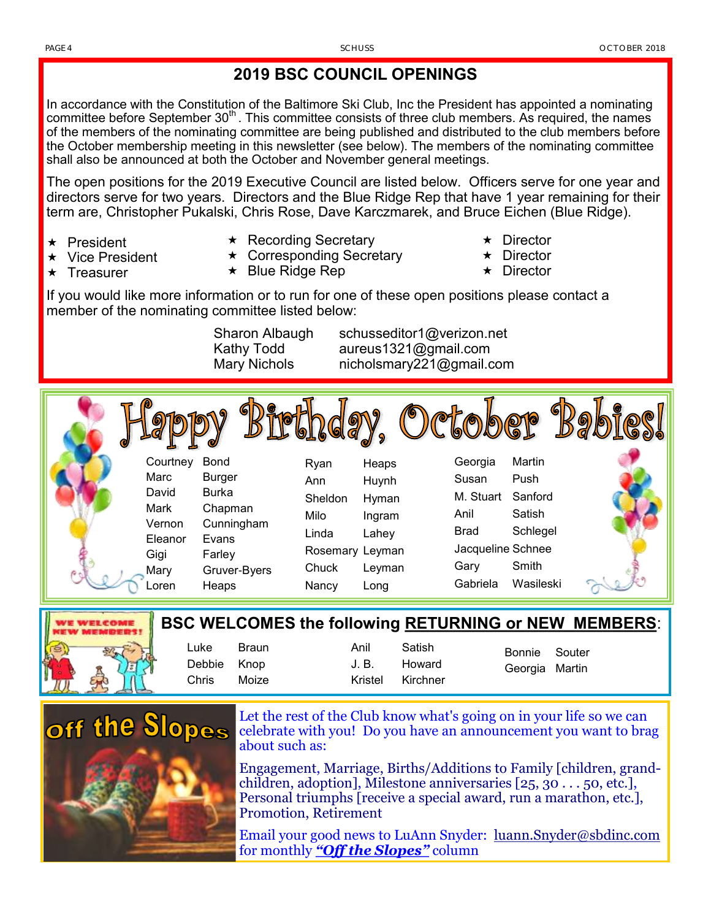#### **2019 BSC COUNCIL OPENINGS**

In accordance with the Constitution of the Baltimore Ski Club, Inc the President has appointed a nominating committee before September  $30<sup>th</sup>$ . This committee consists of three club members. As required, the names of the members of the nominating committee are being published and distributed to the club members before the October membership meeting in this newsletter (see below). The members of the nominating committee shall also be announced at both the October and November general meetings.

The open positions for the 2019 Executive Council are listed below. Officers serve for one year and directors serve for two years. Directors and the Blue Ridge Rep that have 1 year remaining for their term are, Christopher Pukalski, Chris Rose, Dave Karczmarek, and Bruce Eichen (Blue Ridge).

 $\star$  President

 $\star$  Treasurer

- Vice President
- $\star$  Recording Secretary
- ★ Corresponding Secretary
- $\star$  Blue Ridge Rep
- **★** Director
- Director
- **Director**

If you would like more information or to run for one of these open positions please contact a member of the nominating committee listed below:

Sharon Albaugh schusseditor1@verizon.net Kathy Todd aureus1321@gmail.com Mary Nichols nicholsmary221@gmail.com

Courtney Bond Marc Burger David Burka Mark Chapman Vernon Cunningham Eleanor Evans Gigi Farley Mary Gruver-Byers Loren Heaps Ryan Heaps Ann Huynh Sheldon Hyman Milo Ingram Linda Lahey Rosemary Leyman Chuck Leyman Nancy Long Georgia Martin Susan Push M. Stuart Sanford Anil Satish Brad Schlegel Jacqueline Schnee Gary Smith Gabriela Wasileski



|                     |         |                  |                  |                | <b>BSC WELCOMES the following RETURNING or NEW MEMBERS:</b> |
|---------------------|---------|------------------|------------------|----------------|-------------------------------------------------------------|
| Luke<br>Debbie Knop | – Braun | Anil<br>.J. B.   | Satish<br>Howard | Bonnie Souter  |                                                             |
| Chris               | Moize   | Kristel Kirchner |                  | Georgia Martin |                                                             |



Let the rest of the Club know what's going on in your life so we can celebrate with you! Do you have an announcement you want to brag about such as:

Engagement, Marriage, Births/Additions to Family [children, grandchildren, adoption], Milestone anniversaries  $[25, 30, \ldots, 50, \text{etc.}]$ Personal triumphs [receive a special award, run a marathon, etc.], Promotion, Retirement

Email your good news to LuAnn Snyder: <u>luann.Snyder</u>@sbdinc.com for monthly *"Off the Slopes"* column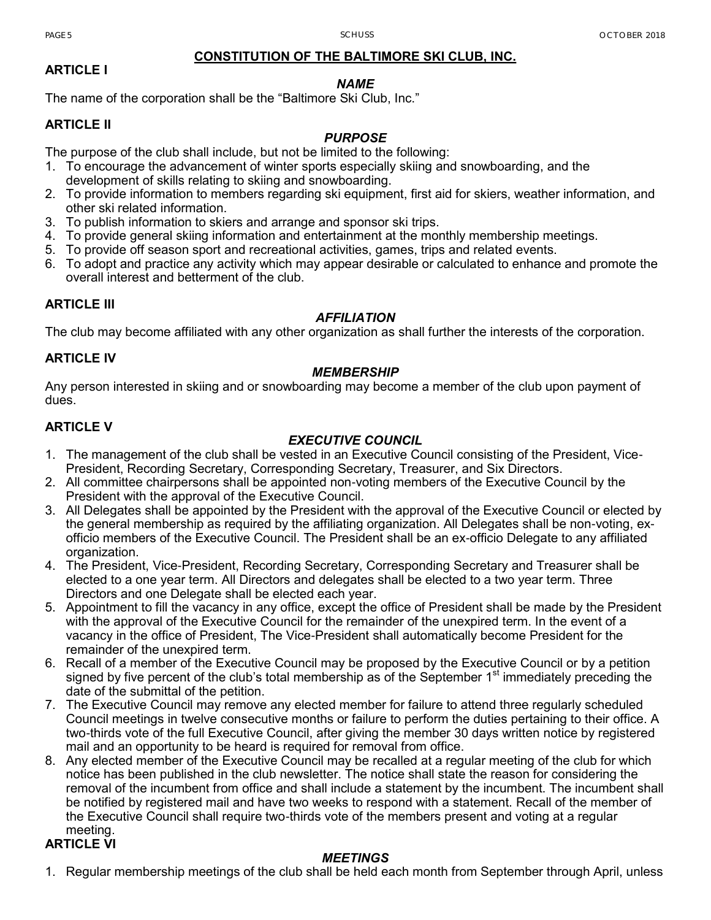#### **CONSTITUTION OF THE BALTIMORE SKI CLUB, INC.**

#### **ARTICLE I**

#### *NAME*

The name of the corporation shall be the "Baltimore Ski Club, Inc."

#### **ARTICLE II**

#### *PURPOSE*

The purpose of the club shall include, but not be limited to the following:

- 1. To encourage the advancement of winter sports especially skiing and snowboarding, and the
- development of skills relating to skiing and snowboarding.
- 2. To provide information to members regarding ski equipment, first aid for skiers, weather information, and other ski related information.
- 3. To publish information to skiers and arrange and sponsor ski trips.
- 4. To provide general skiing information and entertainment at the monthly membership meetings.
- 5. To provide off season sport and recreational activities, games, trips and related events.
- 6. To adopt and practice any activity which may appear desirable or calculated to enhance and promote the overall interest and betterment of the club.

#### **ARTICLE III**

#### *AFFILIATION*

The club may become affiliated with any other organization as shall further the interests of the corporation.

#### **ARTICLE IV**

#### *MEMBERSHIP*

Any person interested in skiing and or snowboarding may become a member of the club upon payment of dues.

#### **ARTICLE V**

#### *EXECUTIVE COUNCIL*

- 1. The management of the club shall be vested in an Executive Council consisting of the President, Vice-President, Recording Secretary, Corresponding Secretary, Treasurer, and Six Directors.
- 2. All committee chairpersons shall be appointed non-voting members of the Executive Council by the President with the approval of the Executive Council.
- 3. All Delegates shall be appointed by the President with the approval of the Executive Council or elected by the general membership as required by the affiliating organization. All Delegates shall be non-voting, exofficio members of the Executive Council. The President shall be an ex-officio Delegate to any affiliated organization.
- 4. The President, Vice-President, Recording Secretary, Corresponding Secretary and Treasurer shall be elected to a one year term. All Directors and delegates shall be elected to a two year term. Three Directors and one Delegate shall be elected each year.
- 5. Appointment to fill the vacancy in any office, except the office of President shall be made by the President with the approval of the Executive Council for the remainder of the unexpired term. In the event of a vacancy in the office of President, The Vice-President shall automatically become President for the remainder of the unexpired term.
- 6. Recall of a member of the Executive Council may be proposed by the Executive Council or by a petition signed by five percent of the club's total membership as of the September 1<sup>st</sup> immediately preceding the date of the submittal of the petition.
- 7. The Executive Council may remove any elected member for failure to attend three regularly scheduled Council meetings in twelve consecutive months or failure to perform the duties pertaining to their office. A two-thirds vote of the full Executive Council, after giving the member 30 days written notice by registered mail and an opportunity to be heard is required for removal from office.
- 8. Any elected member of the Executive Council may be recalled at a regular meeting of the club for which notice has been published in the club newsletter. The notice shall state the reason for considering the removal of the incumbent from office and shall include a statement by the incumbent. The incumbent shall be notified by registered mail and have two weeks to respond with a statement. Recall of the member of the Executive Council shall require two-thirds vote of the members present and voting at a regular meeting.

#### **ARTICLE VI**

#### *MEETINGS*

1. Regular membership meetings of the club shall be held each month from September through April, unless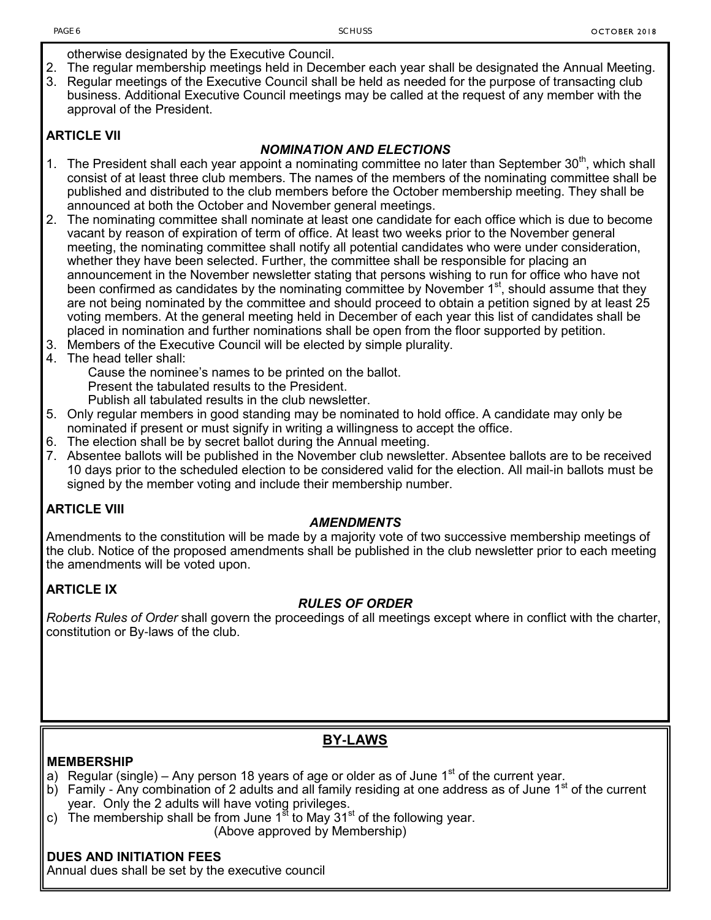otherwise designated by the Executive Council.

- 2. The regular membership meetings held in December each year shall be designated the Annual Meeting.
- 3. Regular meetings of the Executive Council shall be held as needed for the purpose of transacting club business. Additional Executive Council meetings may be called at the request of any member with the approval of the President.

#### **ARTICLE VII**

#### *NOMINATION AND ELECTIONS*

- 1. The President shall each year appoint a nominating committee no later than September 30<sup>th</sup>, which shall consist of at least three club members. The names of the members of the nominating committee shall be published and distributed to the club members before the October membership meeting. They shall be announced at both the October and November general meetings.
- 2. The nominating committee shall nominate at least one candidate for each office which is due to become vacant by reason of expiration of term of office. At least two weeks prior to the November general meeting, the nominating committee shall notify all potential candidates who were under consideration, whether they have been selected. Further, the committee shall be responsible for placing an announcement in the November newsletter stating that persons wishing to run for office who have not been confirmed as candidates by the nominating committee by November  $1<sup>st</sup>$ , should assume that they are not being nominated by the committee and should proceed to obtain a petition signed by at least 25 voting members. At the general meeting held in December of each year this list of candidates shall be placed in nomination and further nominations shall be open from the floor supported by petition.
- 3. Members of the Executive Council will be elected by simple plurality.
- 4. The head teller shall:

Cause the nominee's names to be printed on the ballot. Present the tabulated results to the President.

Publish all tabulated results in the club newsletter.

- 5. Only regular members in good standing may be nominated to hold office. A candidate may only be nominated if present or must signify in writing a willingness to accept the office.
- 6. The election shall be by secret ballot during the Annual meeting.
- 7. Absentee ballots will be published in the November club newsletter. Absentee ballots are to be received 10 days prior to the scheduled election to be considered valid for the election. All mail-in ballots must be signed by the member voting and include their membership number.

#### **ARTICLE VIII**

#### *AMENDMENTS*

Amendments to the constitution will be made by a majority vote of two successive membership meetings of the club. Notice of the proposed amendments shall be published in the club newsletter prior to each meeting the amendments will be voted upon.

#### **ARTICLE IX**

#### *RULES OF ORDER*

*Roberts Rules of Order* shall govern the proceedings of all meetings except where in conflict with the charter, constitution or By-laws of the club.

#### **BY-LAWS**

#### **MEMBERSHIP**

- a) Regular (single) Any person 18 years of age or older as of June  $1<sup>st</sup>$  of the current year.
- b) Family Any combination of 2 adults and all family residing at one address as of June  $1<sup>st</sup>$  of the current year. Only the 2 adults will have voting privileges.
- c) The membership shall be from June  $1<sup>st</sup>$  to May  $31<sup>st</sup>$  of the following year. (Above approved by Membership)

#### **DUES AND INITIATION FEES**

Annual dues shall be set by the executive council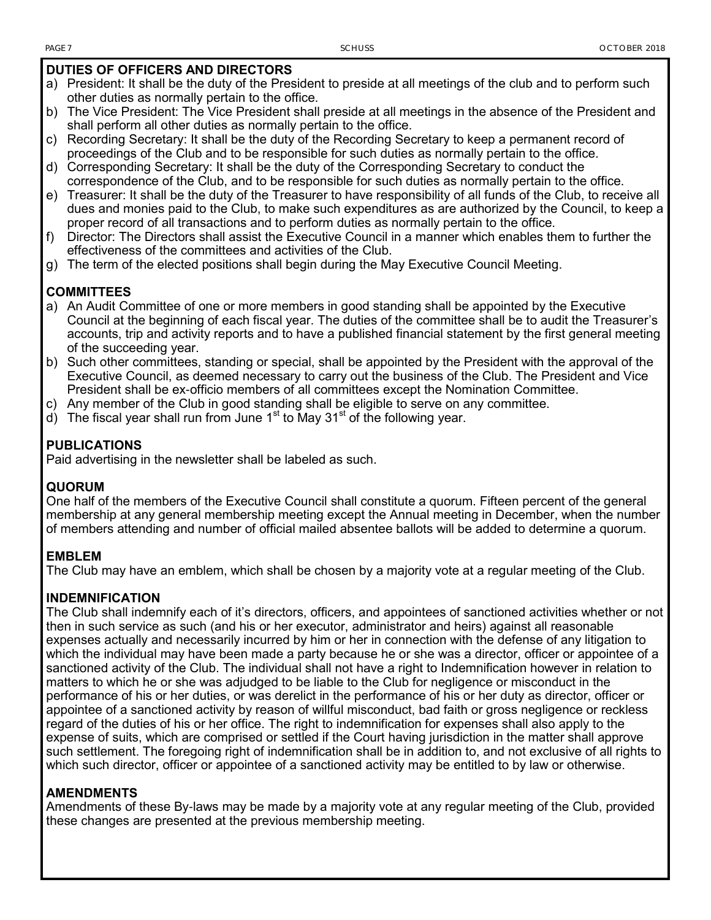#### **DUTIES OF OFFICERS AND DIRECTORS**

- a) President: It shall be the duty of the President to preside at all meetings of the club and to perform such other duties as normally pertain to the office.
- b) The Vice President: The Vice President shall preside at all meetings in the absence of the President and shall perform all other duties as normally pertain to the office.
- c) Recording Secretary: It shall be the duty of the Recording Secretary to keep a permanent record of proceedings of the Club and to be responsible for such duties as normally pertain to the office.
- d) Corresponding Secretary: It shall be the duty of the Corresponding Secretary to conduct the correspondence of the Club, and to be responsible for such duties as normally pertain to the office.
- e) Treasurer: It shall be the duty of the Treasurer to have responsibility of all funds of the Club, to receive all dues and monies paid to the Club, to make such expenditures as are authorized by the Council, to keep a proper record of all transactions and to perform duties as normally pertain to the office.
- f) Director: The Directors shall assist the Executive Council in a manner which enables them to further the effectiveness of the committees and activities of the Club.
- g) The term of the elected positions shall begin during the May Executive Council Meeting.

#### **COMMITTEES**

- a) An Audit Committee of one or more members in good standing shall be appointed by the Executive Council at the beginning of each fiscal year. The duties of the committee shall be to audit the Treasurer's accounts, trip and activity reports and to have a published financial statement by the first general meeting of the succeeding year.
- b) Such other committees, standing or special, shall be appointed by the President with the approval of the Executive Council, as deemed necessary to carry out the business of the Club. The President and Vice President shall be ex-officio members of all committees except the Nomination Committee.
- c) Any member of the Club in good standing shall be eligible to serve on any committee.
- d) The fiscal year shall run from June  $1<sup>st</sup>$  to May  $31<sup>st</sup>$  of the following year.

#### **PUBLICATIONS**

Paid advertising in the newsletter shall be labeled as such.

#### **QUORUM**

One half of the members of the Executive Council shall constitute a quorum. Fifteen percent of the general membership at any general membership meeting except the Annual meeting in December, when the number of members attending and number of official mailed absentee ballots will be added to determine a quorum.

#### **EMBLEM**

The Club may have an emblem, which shall be chosen by a majority vote at a regular meeting of the Club.

#### **INDEMNIFICATION**

The Club shall indemnify each of it's directors, officers, and appointees of sanctioned activities whether or not then in such service as such (and his or her executor, administrator and heirs) against all reasonable expenses actually and necessarily incurred by him or her in connection with the defense of any litigation to which the individual may have been made a party because he or she was a director, officer or appointee of a sanctioned activity of the Club. The individual shall not have a right to Indemnification however in relation to matters to which he or she was adjudged to be liable to the Club for negligence or misconduct in the performance of his or her duties, or was derelict in the performance of his or her duty as director, officer or appointee of a sanctioned activity by reason of willful misconduct, bad faith or gross negligence or reckless regard of the duties of his or her office. The right to indemnification for expenses shall also apply to the expense of suits, which are comprised or settled if the Court having jurisdiction in the matter shall approve such settlement. The foregoing right of indemnification shall be in addition to, and not exclusive of all rights to which such director, officer or appointee of a sanctioned activity may be entitled to by law or otherwise.

#### **AMENDMENTS**

Amendments of these By-laws may be made by a majority vote at any regular meeting of the Club, provided these changes are presented at the previous membership meeting.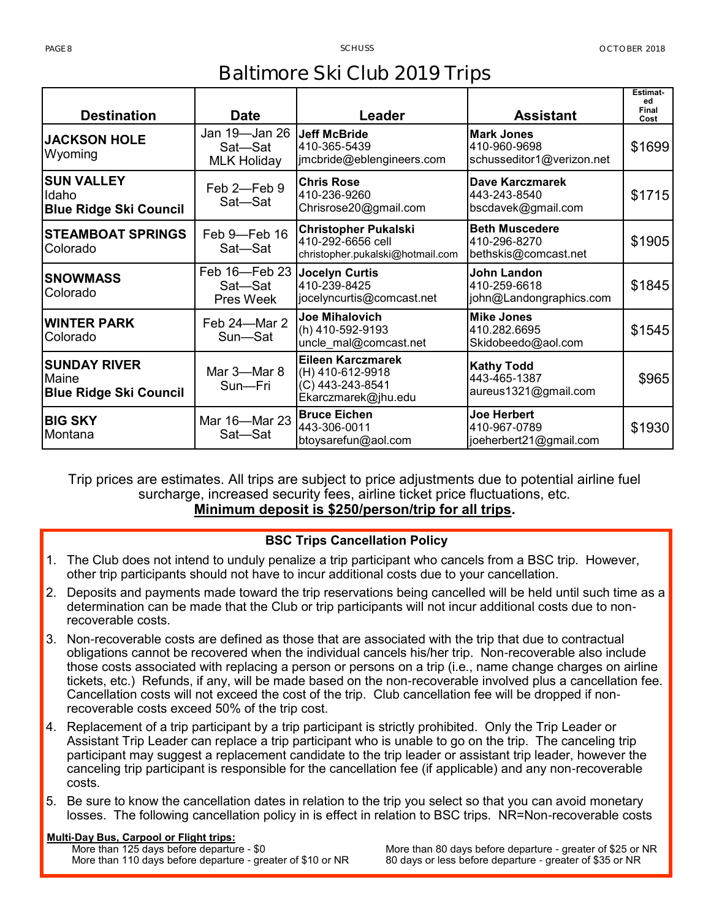## **Baltimore Ski Club 2019 Trips**

| <b>Destination</b>                                            | <b>Date</b>                                    | Leader                                                                                  | <b>Assistant</b>                                               | Estimat-<br>ed<br>Final<br>Cost |
|---------------------------------------------------------------|------------------------------------------------|-----------------------------------------------------------------------------------------|----------------------------------------------------------------|---------------------------------|
| <b>JACKSON HOLE</b><br>Wyoming                                | Jan 19-Jan 26<br>Sat-Sat<br><b>MLK Holiday</b> | <b>Jeff McBride</b><br>410-365-5439<br>jmcbride@eblengineers.com                        | <b>Mark Jones</b><br>410-960-9698<br>schusseditor1@verizon.net | \$1699                          |
| <b>SUN VALLEY</b><br>Idaho<br><b>Blue Ridge Ski Council</b>   | Feb 2-Feb 9<br>Sat-Sat                         | <b>Chris Rose</b><br>410-236-9260<br>Chrisrose20@gmail.com                              | Dave Karczmarek<br>443-243-8540<br>bscdavek@gmail.com          | \$1715                          |
| <b>STEAMBOAT SPRINGS</b><br>Colorado                          | Feb 9-Feb 16<br>Sat-Sat                        | <b>Christopher Pukalski</b><br>410-292-6656 cell<br>christopher.pukalski@hotmail.com    | <b>Beth Muscedere</b><br>410-296-8270<br>bethskis@comcast.net  | \$1905                          |
| <b>SNOWMASS</b><br>Colorado                                   | Feb 16-Feb 23<br>Sat-Sat<br>Pres Week          | <b>Jocelyn Curtis</b><br>410-239-8425<br>jocelyncurtis@comcast.net                      | John Landon<br>410-259-6618<br>john@Landongraphics.com         | \$1845                          |
| <b>WINTER PARK</b><br>Colorado                                | Feb 24-Mar 2<br>Sun—Sat                        | <b>Joe Mihalovich</b><br>(h) 410-592-9193<br>uncle_mal@comcast.net                      | <b>Mike Jones</b><br>410.282.6695<br>Skidobeedo@aol.com        | \$1545                          |
| <b>SUNDAY RIVER</b><br>Maine<br><b>Blue Ridge Ski Council</b> | Mar 3-Mar 8<br>Sun-Fri                         | <b>Eileen Karczmarek</b><br>(H) 410-612-9918<br>(C) 443-243-8541<br>Ekarczmarek@jhu.edu | <b>Kathy Todd</b><br>443-465-1387<br>aureus1321@gmail.com      | \$965                           |
| <b>BIG SKY</b><br>Montana                                     | Mar 16-Mar 23<br>Sat-Sat                       | <b>Bruce Eichen</b><br>443-306-0011<br>btoysarefun@aol.com                              | <b>Joe Herbert</b><br>410-967-0789<br>joeherbert21@gmail.com   | \$1930                          |

Trip prices are estimates. All trips are subject to price adjustments due to potential airline fuel surcharge, increased security fees, airline ticket price fluctuations, etc. **Minimum deposit is \$250/person/trip for all trips.**

#### **BSC Trips Cancellation Policy**

- 1. The Club does not intend to unduly penalize a trip participant who cancels from a BSC trip. However, other trip participants should not have to incur additional costs due to your cancellation.
- 2. Deposits and payments made toward the trip reservations being cancelled will be held until such time as a determination can be made that the Club or trip participants will not incur additional costs due to nonrecoverable costs.
- 3. Non-recoverable costs are defined as those that are associated with the trip that due to contractual obligations cannot be recovered when the individual cancels his/her trip. Non-recoverable also include those costs associated with replacing a person or persons on a trip (i.e., name change charges on airline tickets, etc.) Refunds, if any, will be made based on the non-recoverable involved plus a cancellation fee. Cancellation costs will not exceed the cost of the trip. Club cancellation fee will be dropped if nonrecoverable costs exceed 50% of the trip cost.
- 4. Replacement of a trip participant by a trip participant is strictly prohibited. Only the Trip Leader or Assistant Trip Leader can replace a trip participant who is unable to go on the trip. The canceling trip participant may suggest a replacement candidate to the trip leader or assistant trip leader, however the canceling trip participant is responsible for the cancellation fee (if applicable) and any non-recoverable costs.
- 5. Be sure to know the cancellation dates in relation to the trip you select so that you can avoid monetary losses. The following cancellation policy in is effect in relation to BSC trips. NR=Non-recoverable costs

#### **Multi-Day Bus, Carpool or Flight trips:**

More than 125 days before departure - \$0 More than 110 days before departure - greater of \$10 or NR More than 80 days before departure - greater of \$25 or NR 80 days or less before departure - greater of \$35 or NR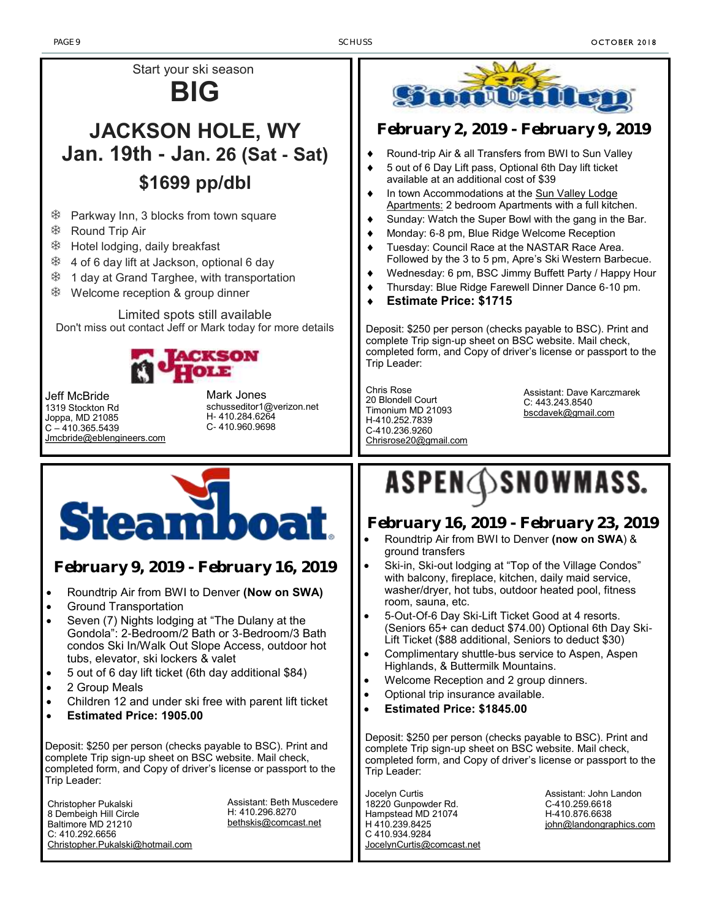PAGE 9 SCHUSS SOME SERVICE SERVICE SERVICE SERVICE SERVICE SERVICE SERVICE SERVICE SERVICE SERVICE SERVICE SERVICE SERVICE SERVICE SERVICE SERVICE SERVICE SERVICE SERVICE SERVICE SERVICE SERVICE SERVICE SERVICE SERVICE SER

H-410.876.6638

[john@landongraphics.com](mailto:john@landongraphics.com)



8 Dembeigh Hill Circle Baltimore MD 21210 C: 410.292.6656 [Christopher.Pukalski@hotmail.com](mailto:Christopher.Pukalski@hotmail.com) H: 410.296.8270 [bethskis@comcast.net](mailto:bethskis@comcast.net)

Hampstead MD 21074 H 410.239.8425 C 410.934.9284

[JocelynCurtis@comcast.net](mailto:%20JocelynCurtis@comcast.net)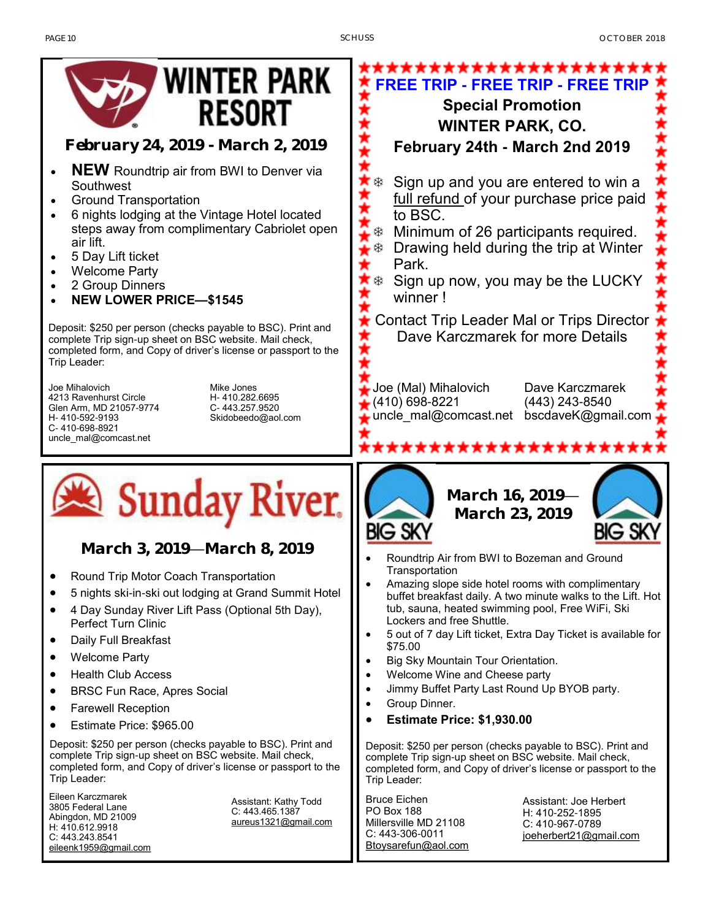

*February 24, 2019 - March 2, 2019*

- **NEW** Roundtrip air from BWI to Denver via Southwest
- Ground Transportation
- 6 nights lodging at the Vintage Hotel located steps away from complimentary Cabriolet open air lift.
- 5 Day Lift ticket
- Welcome Party
- 2 Group Dinners
- **NEW LOWER PRICE—\$1545**

Deposit: \$250 per person (checks payable to BSC). Print and complete Trip sign-up sheet on BSC website. Mail check, completed form, and Copy of driver's license or passport to the Trip Leader:

Joe Mihalovich 4213 Ravenhurst Circle Glen Arm, MD 21057-9774 H- 410-592-9193 C- 410-698-8921 uncle\_mal@comcast.net

Mike Jones H- 410.282.6695 C- 443.257.9520 Skidobeedo@aol.com



*March 3, 2019—March 8, 2019*

- Round Trip Motor Coach Transportation
- 5 nights ski-in-ski out lodging at Grand Summit Hotel
- 4 Day Sunday River Lift Pass (Optional 5th Day), Perfect Turn Clinic
- Daily Full Breakfast
- Welcome Party
- Health Club Access
- BRSC Fun Race, Apres Social
- Farewell Reception
- Estimate Price: \$965.00

Deposit: \$250 per person (checks payable to BSC). Print and complete Trip sign-up sheet on BSC website. Mail check, completed form, and Copy of driver's license or passport to the Trip Leader:

Eileen Karczmarek 3805 Federal Lane Abingdon, MD 21009 H: 410.612.9918 C: 443.243.8541 [eileenk1959@gmail.com](mailto:eileenk1959@gmail.com)

Assistant: Kathy Todd C: 443.465.1387 [aureus1321@gmail.com](mailto:aureus1321@gmail.com)





*March 16, 2019— March 23, 2019*



- Roundtrip Air from BWI to Bozeman and Ground **Transportation**
- Amazing slope side hotel rooms with complimentary buffet breakfast daily. A two minute walks to the Lift. Hot tub, sauna, heated swimming pool, Free WiFi, Ski Lockers and free Shuttle.
- 5 out of 7 day Lift ticket, Extra Day Ticket is available for \$75.00
- Big Sky Mountain Tour Orientation.
- Welcome Wine and Cheese party
- Jimmy Buffet Party Last Round Up BYOB party.
- Group Dinner.
- **Estimate Price: \$1,930.00**

Deposit: \$250 per person (checks payable to BSC). Print and complete Trip sign-up sheet on BSC website. Mail check, completed form, and Copy of driver's license or passport to the Trip Leader:

Bruce Eichen PO Box 188 Millersville MD 21108 C: 443-306-0011 [Btoysarefun@aol.com](mailto:Btoysarefun@aol.com) Assistant: Joe Herbert H: 410-252-1895 C: 410-967-0789 [joeherbert21@gmail.com](mailto:joeherbert21@gmail.com)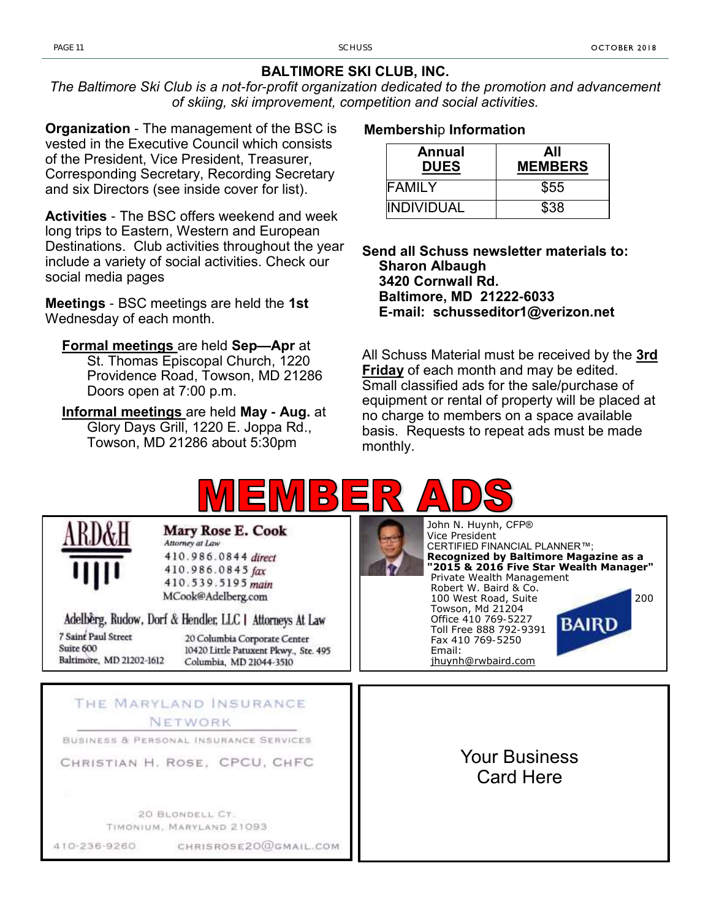#### **BALTIMORE SKI CLUB, INC.**

*The Baltimore Ski Club is a not-for-profit organization dedicated to the promotion and advancement of skiing, ski improvement, competition and social activities.*

**Organization** - The management of the BSC is vested in the Executive Council which consists of the President, Vice President, Treasurer, Corresponding Secretary, Recording Secretary and six Directors (see inside cover for list).

**Activities** - The BSC offers weekend and week long trips to Eastern, Western and European Destinations. Club activities throughout the year include a variety of social activities. Check our social media pages

**Meetings** - BSC meetings are held the **1st**  Wednesday of each month.

**Formal meetings** are held **Sep—Apr** at St. Thomas Episcopal Church, 1220 Providence Road, Towson, MD 21286 Doors open at 7:00 p.m.

**Informal meetings** are held **May - Aug.** at Glory Days Grill, 1220 E. Joppa Rd., Towson, MD 21286 about 5:30pm

#### **Membershi**p **Information**

| Annual<br><b>DUES</b> | All<br><b>MEMBERS</b> |  |  |
|-----------------------|-----------------------|--|--|
| <b>FAMILY</b>         | \$55                  |  |  |
| <b>INDIVIDUAL</b>     | \$38                  |  |  |

**Send all Schuss newsletter materials to: Sharon Albaugh 3420 Cornwall Rd. Baltimore, MD 21222-6033 E-mail: schusseditor1@verizon.net**

All Schuss Material must be received by the **3rd Friday** of each month and may be edited. Small classified ads for the sale/purchase of equipment or rental of property will be placed at no charge to members on a space available basis. Requests to repeat ads must be made monthly.

CERTIFIED FINANCIAL PLANNER™;

Your Business Card Here

Private Wealth Management Robert W. Baird & Co.

Towson, Md 21204 Office 410 769-5227 Toll Free 888 792-9391 Fax 410 769-5250

[jhuynh@rwbaird.com](mailto:jhuynh@rwbaird.com)

**Recognized by Baltimore Magazine as a "2015 & 2016 Five Star Wealth Manager"**

100 West Road, Suite 200

BAIRD

Vice President

Email:



| t |  |    | <b>IKD&amp;H</b> |  |
|---|--|----|------------------|--|
|   |  | 11 |                  |  |

**Mary Rose E. Cook** Attorney at Law 410.986.0844 direct 410.986.0845 fax

410.539.5195 main MCook@Adelberg.com

Adelberg, Rudow, Dorf & Hendler, LLC | Attorneys At Law

7 Saint Paul Street Suite 600 Baltimore, MD 21202-1612

20 Columbia Corporate Center 10420 Little Patuxent Pkwy., Ste. 495 Columbia, MD 21044-3510

#### THE MARYLAND INSURANCE NETWORK

BUSINESS & PERSONAL INSURANCE SERVICES

CHRISTIAN H. ROSE, CPCU, CHFC

20 BLONDELL CT. TIMONIUM, MARYLAND 21093

410-236-9260

CHRISROSE20@GMAIL.COM